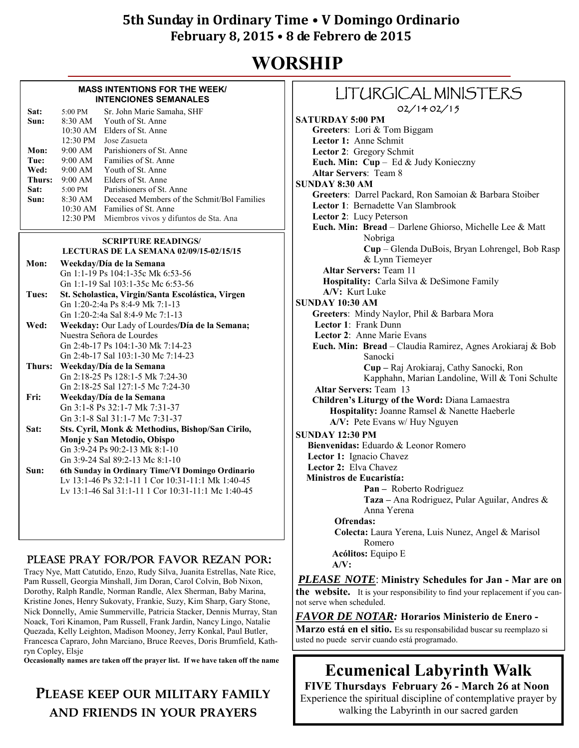# **WORSHIP**

#### **MASS INTENTIONS FOR THE WEEK/ INTENCIONES SEMANALES**

| $5:00 \text{ PM}$<br>$8:30$ AM<br>$10:30$ AM | Sr. John Marie Samaha, SHF<br>Youth of St. Anne<br>Elders of St. Anne<br>Jose Zasueta |
|----------------------------------------------|---------------------------------------------------------------------------------------|
| $9.00 \text{ AM}$                            | Parishioners of St. Anne                                                              |
| 9:00 AM                                      | Families of St. Anne                                                                  |
| $9.00 \text{ AM}$                            | Youth of St. Anne                                                                     |
| $9.00 \text{ AM}$                            | Elders of St. Anne                                                                    |
| $5:00 \text{ PM}$                            | Parishioners of St. Anne                                                              |
| $8.30$ AM                                    | Deceased Members of the Schmit/Bol Families                                           |
| $10:30$ AM                                   | <b>Families of St. Anne</b>                                                           |
| 12:30 PM                                     | Miembros vivos y difuntos de Sta. Ana                                                 |
|                                              | $12:30 \text{ PM}$                                                                    |

#### **SCRIPTURE READINGS/**

|       | LECTURAS DE LA SEMANA 02/09/15-02/15/15           |
|-------|---------------------------------------------------|
| Mon:  | Weekday/Día de la Semana                          |
|       | Gn 1:1-19 Ps 104:1-35c Mk 6:53-56                 |
|       | Gn 1:1-19 Sal 103:1-35c Mc 6:53-56                |
| Tues: | St. Scholastica, Virgin/Santa Escolástica, Virgen |
|       | Gn 1:20-2:4a Ps 8:4-9 Mk 7:1-13                   |
|       | Gn 1:20-2:4a Sal 8:4-9 Mc 7:1-13                  |
| Wod.  | Weekdey, Our Lady of Lourdes/Día de la Semana     |

- **Wed: Weekday:** Our Lady of Lourdes**/Día de la Semana;**  Nuestra Señora de Lourdes Gn 2:4b-17 Ps 104:1-30 Mk 7:14-23 Gn 2:4b-17 Sal 103:1-30 Mc 7:14-23
- **Thurs: Weekday/Día de la Semana**  Gn 2:18-25 Ps 128:1-5 Mk 7:24-30 Gn 2:18-25 Sal 127:1-5 Mc 7:24-30
- **Fri: Weekday/Día de la Semana** Gn 3:1-8 Ps 32:1-7 Mk 7:31-37 Gn 3:1-8 Sal 31:1-7 Mc 7:31-37 **Sat: Sts. Cyril, Monk & Methodius, Bishop/San Cirilo,**
- **Monje y San Metodio, Obispo** Gn 3:9-24 Ps 90:2-13 Mk 8:1-10 Gn 3:9-24 Sal 89:2-13 Mc 8:1-10 **Sun: 6th Sunday in Ordinary Time/VI Domingo Ordinario**
- Lv 13:1-46 Ps 32:1-11 1 Cor 10:31-11:1 Mk 1:40-45 Lv 13:1-46 Sal 31:1-11 1 Cor 10:31-11:1 Mc 1:40-45

### PLEASE PRAY FOR/POR FAVOR REZAN POR:

Tracy Nye, Matt Catutido, Enzo, Rudy Silva, Juanita Estrellas, Nate Rice, Pam Russell, Georgia Minshall, Jim Doran, Carol Colvin, Bob Nixon, Dorothy, Ralph Randle, Norman Randle, Alex Sherman, Baby Marina, Kristine Jones, Henry Sukovaty, Frankie, Suzy, Kim Sharp, Gary Stone, Nick Donnelly, Amie Summerville, Patricia Stacker, Dennis Murray, Stan Noack, Tori Kinamon, Pam Russell, Frank Jardin, Nancy Lingo, Natalie Quezada, Kelly Leighton, Madison Mooney, Jerry Konkal, Paul Butler, Francesca Capraro, John Marciano, Bruce Reeves, Doris Brumfield, Kathryn Copley, Elsje

**Occasionally names are taken off the prayer list. If we have taken off the name** 

# **PLEASE KEEP OUR MILITARY FAMILY AND FRIENDS IN YOUR PRAYERS**

### LITURGICAL MINISTERS 02/14 02/15

#### **SATURDAY 5:00 PM Greeters**: Lori & Tom Biggam  **Lector 1:** Anne Schmit **Lector 2**: Gregory Schmit  **Euch. Min: Cup** – Ed & Judy Konieczny **Altar Servers**: Team 8 **SUNDAY 8:30 AM Greeters**: Darrel Packard, Ron Samoian & Barbara Stoiber  **Lector 1**: Bernadette Van Slambrook **Lector 2**: Lucy Peterson **Euch. Min: Bread** – Darlene Ghiorso, Michelle Lee & Matt Nobriga **Cup** – Glenda DuBois, Bryan Lohrengel, Bob Rasp & Lynn Tiemeyer **Altar Servers:** Team 11 **Hospitality:** Carla Silva & DeSimone Family **A/V:** Kurt Luke **SUNDAY 10:30 AM Greeters**: Mindy Naylor, Phil & Barbara Mora **Lector 1**: Frank Dunn **Lector 2**: Anne Marie Evans **Euch. Min: Bread** – Claudia Ramirez, Agnes Arokiaraj & Bob Sanocki  **Cup –** Raj Arokiaraj, Cathy Sanocki, Ron Kapphahn, Marian Landoline, Will & Toni Schulte  **Altar Servers:** Team 13 **Children's Liturgy of the Word:** Diana Lamaestra  **Hospitality:** Joanne Ramsel & Nanette Haeberle  **A/V:** Pete Evans w/ Huy Nguyen**SUNDAY 12:30 PM Bienvenidas:** Eduardo & Leonor Romero  **Lector 1:** Ignacio Chavez  **Lector 2:** Elva Chavez  **Ministros de Eucaristía: Pan –** Roberto Rodriguez  **Taza –** Ana Rodriguez, Pular Aguilar, Andres & Anna Yerena  **Ofrendas: Colecta:** Laura Yerena, Luis Nunez, Angel & Marisol Romero  **Acólitos:** Equipo E  **A/V:**

*PLEASE NOTE*: **Ministry Schedules for Jan - Mar are on the website.** It is your responsibility to find your replacement if you cannot serve when scheduled.

*FAVOR DE NOTAR:* **Horarios Ministerio de Enero - Marzo está en el sitio.** Es su responsabilidad buscar su reemplazo si usted no puede servir cuando está programado.

# **Ecumenical Labyrinth Walk**

**FIVE Thursdays February 26 - March 26 at Noon**  Experience the spiritual discipline of contemplative prayer by walking the Labyrinth in our sacred garden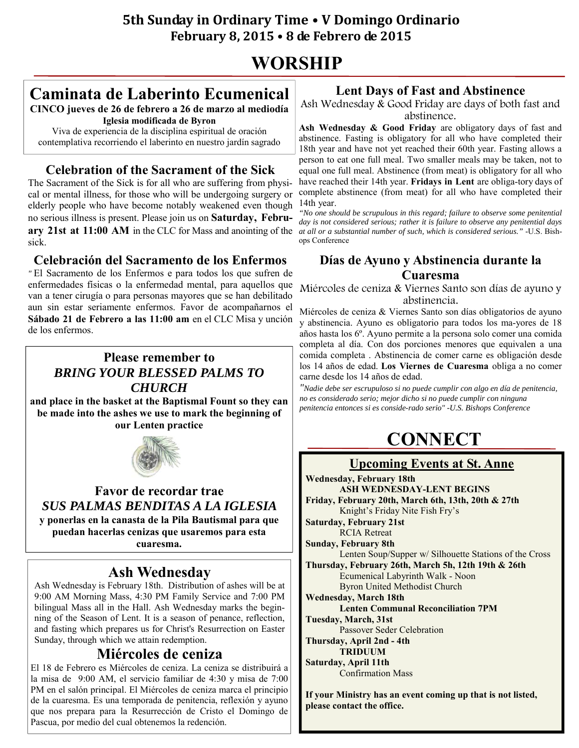# **WORSHIP**

# **Caminata de Laberinto Ecumenical**

**CINCO jueves de 26 de febrero a 26 de marzo al mediodía Iglesia modificada de Byron**

Viva de experiencia de la disciplina espiritual de oración contemplativa recorriendo el laberinto en nuestro jardín sagrado

# **Celebration of the Sacrament of the Sick**

The Sacrament of the Sick is for all who are suffering from physical or mental illness, for those who will be undergoing surgery or elderly people who have become notably weakened even though no serious illness is present. Please join us on **Saturday, February 21st at 11:00 AM** in the CLC for Mass and anointing of the sick.

### **Celebración del Sacramento de los Enfermos**

*"* El Sacramento de los Enfermos e para todos los que sufren de enfermedades físicas o la enfermedad mental, para aquellos que van a tener cirugía o para personas mayores que se han debilitado aun sin estar seriamente enfermos. Favor de acompañarnos el **Sábado 21 de Febrero a las 11:00 am** en el CLC Misa y unción de los enfermos.

### **Please remember to**  *BRING YOUR BLESSED PALMS TO CHURCH*

**and place in the basket at the Baptismal Fount so they can be made into the ashes we use to mark the beginning of our Lenten practice** 



### **Favor de recordar trae**  *SUS PALMAS BENDITAS A LA IGLESIA*

**y ponerlas en la canasta de la Pila Bautismal para que puedan hacerlas cenizas que usaremos para esta cuaresma.** 

# **Ash Wednesday**

Ash Wednesday is February 18th. Distribution of ashes will be at 9:00 AM Morning Mass, 4:30 PM Family Service and 7:00 PM bilingual Mass all in the Hall. Ash Wednesday marks the beginning of the Season of Lent. It is a season of penance, reflection, and fasting which prepares us for Christ's Resurrection on Easter Sunday, through which we attain redemption.

### **Miércoles de ceniza**

El 18 de Febrero es Miércoles de ceniza. La ceniza se distribuirá a la misa de 9:00 AM, el servicio familiar de 4:30 y misa de 7:00 PM en el salón principal. El Miércoles de ceniza marca el principio de la cuaresma. Es una temporada de penitencia, reflexión y ayuno que nos prepara para la Resurrección de Cristo el Domingo de Pascua, por medio del cual obtenemos la redención.

### **Lent Days of Fast and Abstinence**

Ash Wednesday & Good Friday are days of both fast and abstinence.

**Ash Wednesday & Good Friday** are obligatory days of fast and abstinence. Fasting is obligatory for all who have completed their 18th year and have not yet reached their 60th year. Fasting allows a person to eat one full meal. Two smaller meals may be taken, not to equal one full meal. Abstinence (from meat) is obligatory for all who have reached their 14th year. **Fridays in Lent** are obliga-tory days of complete abstinence (from meat) for all who have completed their 14th year.

*"No one should be scrupulous in this regard; failure to observe some penitential day is not considered serious; rather it is failure to observe any penitential days at all or a substantial number of such, which is considered serious."* -U.S. Bishops Conference

# **Días de Ayuno y Abstinencia durante la Cuaresma**

Miércoles de ceniza & Viernes Santo son días de ayuno y abstinencia.

Miércoles de ceniza & Viernes Santo son días obligatorios de ayuno y abstinencia. Ayuno es obligatorio para todos los ma-yores de 18 años hasta los 6º. Ayuno permite a la persona solo comer una comida completa al día. Con dos porciones menores que equivalen a una comida completa . Abstinencia de comer carne es obligación desde los 14 años de edad. **Los Viernes de Cuaresma** obliga a no comer carne desde los 14 años de edad.

*"Nadie debe ser escrupuloso si no puede cumplir con algo en día de penitencia, no es considerado serio; mejor dicho si no puede cumplir con ninguna penitencia entonces si es conside-rado serio" -U.S. Bishops Conference* 

# **CONNECT**

### **Upcoming Events at St. Anne**

**Wednesday, February 18th ASH WEDNESDAY-LENT BEGINS Friday, February 20th, March 6th, 13th, 20th & 27th**  Knight's Friday Nite Fish Fry's **Saturday, February 21st**  RCIA Retreat **Sunday, February 8th**  Lenten Soup/Supper w/ Silhouette Stations of the Cross **Thursday, February 26th, March 5h, 12th 19th & 26th**  Ecumenical Labyrinth Walk - Noon Byron United Methodist Church **Wednesday, March 18th Lenten Communal Reconciliation 7PM Tuesday, March, 31st**  Passover Seder Celebration **Thursday, April 2nd - 4th TRIDUUM Saturday, April 11th**  Confirmation Mass

**If your Ministry has an event coming up that is not listed, please contact the office.**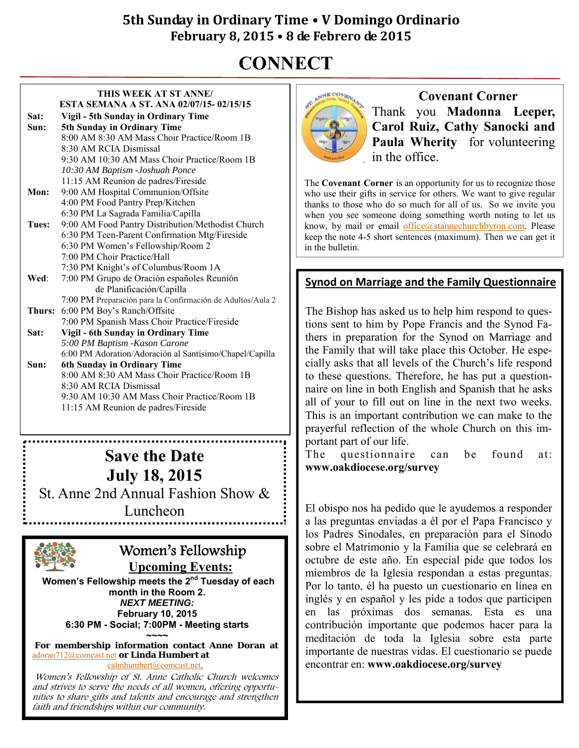# **CONNECT**

#### **THIS WEEK AT ST ANNE/ ESTA SEMANA A ST. ANA 02/07/15- 02/15/15 Sat: Vigil - 5th Sunday in Ordinary Time Sun: 5th Sunday in Ordinary Time** 8:00 AM 8:30 AM Mass Choir Practice/Room 1B 8:30 AM RCIA Dismissal 9:30 AM 10:30 AM Mass Choir Practice/Room 1B *10:30 AM Baptism -Joshuah Ponce* 11:15 AM Reunion de padres/Fireside **Mon:** 9:00 AM Hospital Communion/Offsite 4:00 PM Food Pantry Prep/Kitchen 6:30 PM La Sagrada Familia/Capilla **Tues:** 9:00 AM Food Pantry Distribution/Methodist Church 6:30 PM Teen-Parent Confirmation Mtg/Fireside 6:30 PM Women's Fellowship/Room 2 7:00 PM Choir Practice/Hall 7:30 PM Knight's of Columbus/Room 1A **Wed**: 7:00 PM Grupo de Oración españoles Reunión de Planificación/Capilla 7:00 PM Preparación para la Confirmación de Adultos/Aula 2 **Thurs:** 6:00 PM Boy's Ranch/Offsite 7:00 PM Spanish Mass Choir Practice/Fireside **Sat: Vigil - 6th Sunday in Ordinary Time**  *5:00 PM Baptism -Kason Carone* 6:00 PM Adoration/Adoración al Santísimo/Chapel/Capilla **Sun: 6th Sunday in Ordinary Time** 8:00 AM 8:30 AM Mass Choir Practice/Room 1B 8:30 AM RCIA Dismissal 9:30 AM 10:30 AM Mass Choir Practice/Room 1B 11:15 AM Reunion de padres/Fireside

# **Save the Date July 18, 2015**

St. Anne 2nd Annual Fashion Show &

Luncheon



# Women's Fellowship **Upcoming Events:**

Women's Fellowship meets the 2<sup>nd</sup> Tuesday of each **month in the Room 2.**  *NEXT MEETING:*  **February 10, 2015 6:30 PM - Social; 7:00PM - Meeting starts ~~~~** 

**For membership information contact Anne Doran at**  adoran712@comcast.net **or Linda Humbert at**  calmhumbert@comcast.net.

Women's Fellowship of St. Anne Catholic Church welcomes and strives to serve the needs of all women, offering opportunities to share gifts and talents and encourage and strengthen faith and friendships within our community.



**Covenant Corner** Thank you **Madonna Leeper, Carol Ruiz, Cathy Sanocki and**  Paula Wherity for volunteering in the office.

The **Covenant Corner** is an opportunity for us to recognize those who use their gifts in service for others. We want to give regular thanks to those who do so much for all of us. So we invite you when you see someone doing something worth noting to let us know, by mail or email office@stannechurchbyron.com. Please keep the note 4-5 short sentences (maximum). Then we can get it in the bulletin.

### **Synod on Marriage and the Family Questionnaire**

The Bishop has asked us to help him respond to questions sent to him by Pope Francis and the Synod Fathers in preparation for the Synod on Marriage and the Family that will take place this October. He especially asks that all levels of the Church's life respond to these questions. Therefore, he has put a questionnaire on line in both English and Spanish that he asks all of your to fill out on line in the next two weeks. This is an important contribution we can make to the prayerful reflection of the whole Church on this important part of our life.

The questionnaire can be found at: **www.oakdiocese.org/survey** 

El obispo nos ha pedido que le ayudemos a responder a las preguntas enviadas a él por el Papa Francisco y los Padres Sinodales, en preparación para el Sínodo sobre el Matrimonio y la Familia que se celebrará en octubre de este año. En especial pide que todos los miembros de la Iglesia respondan a estas preguntas. Por lo tanto, él ha puesto un cuestionario en línea en inglés y en español y les pide a todos que participen en las próximas dos semanas. Esta es una contribución importante que podemos hacer para la meditación de toda la Iglesia sobre esta parte importante de nuestras vidas. El cuestionario se puede encontrar en: **www.oakdiocese.org/survey**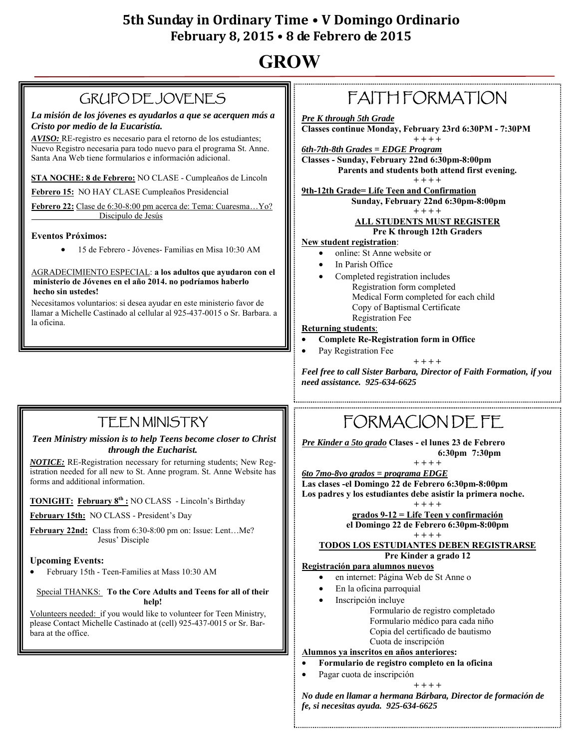# **GROW**

# GRUPO DE JOVENES

*La misión de los jóvenes es ayudarlos a que se acerquen más a Cristo por medio de la Eucaristía.* 

*AVISO:* RE-registro es necesario para el retorno de los estudiantes; Nuevo Registro necesaria para todo nuevo para el programa St. Anne. Santa Ana Web tiene formularios e información adicional.

**STA NOCHE: 8 de Febrero:** NO CLASE - Cumpleaños de Lincoln

**Febrero 15:** NO HAY CLASE Cumpleaños Presidencial

**Febrero 22:** Clase de 6:30-8:00 pm acerca de: Tema: Cuaresma…Yo? Discipulo de Jesús

### **Eventos Próximos:**

15 de Febrero - Jóvenes- Familias en Misa 10:30 AM

#### AGRADECIMIENTO ESPECIAL: **a los adultos que ayudaron con el ministerio de Jóvenes en el año 2014. no podríamos haberlo hecho sin ustedes!**

Necesitamos voluntarios: si desea ayudar en este ministerio favor de llamar a Michelle Castinado al cellular al 925-437-0015 o Sr. Barbara. a la oficina.

# FAITH FORMATION

*Pre K through 5th Grade* **Classes continue Monday, February 23rd 6:30PM - 7:30PM** 

**+ + + +**  *6th-7th-8th Grades = EDGE Program* **Classes - Sunday, February 22nd 6:30pm-8:00pm Parents and students both attend first evening. + + + +** 

**9th-12th Grade= Life Teen and Confirmation Sunday, February 22nd 6:30pm-8:00pm** 

**+ + + +** 

### **ALL STUDENTS MUST REGISTER**

### **Pre K through 12th Graders**

### **New student registration**:

- online: St Anne website or
- In Parish Office
	- Completed registration includes Registration form completed Medical Form completed for each child Copy of Baptismal Certificate Registration Fee

#### **Returning students**:

- **Complete Re-Registration form in Office** 
	- Pay Registration Fee

**+ + + +**  *Feel free to call Sister Barbara, Director of Faith Formation, if you need assistance. 925-634-6625* 

# TEEN MINISTRY

#### *Teen Ministry mission is to help Teens become closer to Christ through the Eucharist.*

*NOTICE:* RE-Registration necessary for returning students; New Registration needed for all new to St. Anne program. St. Anne Website has forms and additional information.

### **TONIGHT: February 8th :** NO CLASS - Lincoln's Birthday

**February 15th:** NO CLASS - President's Day

**February 22nd:** Class from 6:30-8:00 pm on: Issue: Lent…Me? Jesus' Disciple

### **Upcoming Events:**

February 15th - Teen-Families at Mass 10:30 AM

#### Special THANKS: **To the Core Adults and Teens for all of their help!**

Volunteers needed: if you would like to volunteer for Teen Ministry, please Contact Michelle Castinado at (cell) 925-437-0015 or Sr. Barbara at the office.

# FORMACION DE FE

*Pre Kinder a 5to grado* **Clases - el lunes 23 de Febrero 6:30pm 7:30pm** 

**+ + + +**  *6to 7mo-8vo grados = programa EDGE*

**Las clases -el Domingo 22 de Febrero 6:30pm-8:00pm Los padres y los estudiantes debe asistir la primera noche. + + + +** 

**grados 9-12 = Life Teen y confirmación el Domingo 22 de Febrero 6:30pm-8:00pm** 

### **+ + + +**

#### **TODOS LOS ESTUDIANTES DEBEN REGISTRARSE Pre Kinder a grado 12**

### **Registración para alumnos nuevos**

- en internet: Página Web de St Anne o
- En la oficina parroquial
	- Inscripción incluye

Formulario de registro completado Formulario médico para cada niño Copia del certificado de bautismo Cuota de inscripción

#### **Alumnos ya inscritos en años anteriores:**

#### **Formulario de registro completo en la oficina**

Pagar cuota de inscripción

**+ + + +** 

*No dude en llamar a hermana Bárbara, Director de formación de fe, si necesitas ayuda. 925-634-6625*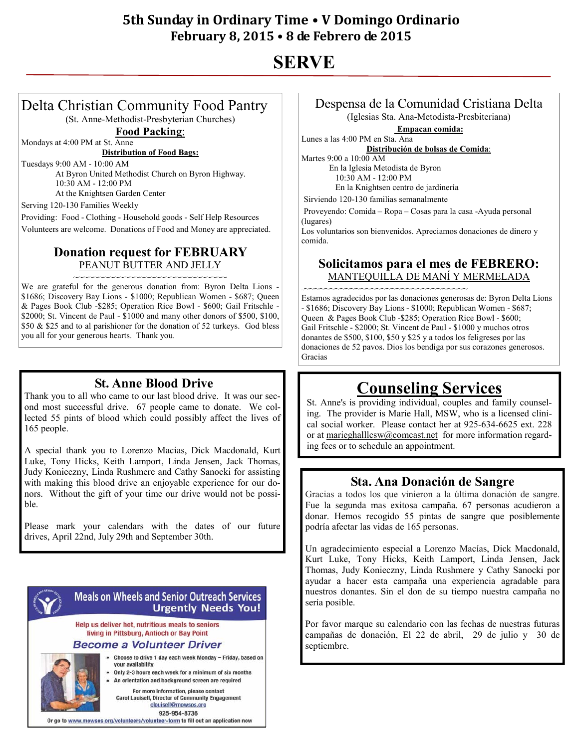# **SERVE**

### Delta Christian Community Food Pantry (St. Anne-Methodist-Presbyterian Churches)

**Food Packing**:

Mondays at 4:00 PM at St. Anne

**Distribution of Food Bags:**

Tuesdays 9:00 AM - 10:00 AM

 At Byron United Methodist Church on Byron Highway. 10:30 AM - 12:00 PM At the Knightsen Garden Center

Serving 120-130 Families Weekly

Providing: Food - Clothing - Household goods - Self Help Resources Volunteers are welcome. Donations of Food and Money are appreciated.

### **Donation request for FEBRUARY**  PEANUT BUTTER AND JELLY

~~~~~~~~~~~~~~~~~~~~~~~~~~~~~~~ We are grateful for the generous donation from: Byron Delta Lions - \$1686; Discovery Bay Lions - \$1000; Republican Women - \$687; Queen & Pages Book Club -\$285; Operation Rice Bowl - \$600; Gail Fritschle - \$2000; St. Vincent de Paul - \$1000 and many other donors of \$500, \$100, \$50 & \$25 and to al parishioner for the donation of 52 turkeys. God bless you all for your generous hearts. Thank you.

### **St. Anne Blood Drive**

Thank you to all who came to our last blood drive. It was our second most successful drive. 67 people came to donate. We collected 55 pints of blood which could possibly affect the lives of 165 people.

A special thank you to Lorenzo Macias, Dick Macdonald, Kurt Luke, Tony Hicks, Keith Lamport, Linda Jensen, Jack Thomas, Judy Konieczny, Linda Rushmere and Cathy Sanocki for assisting with making this blood drive an enjoyable experience for our donors. Without the gift of your time our drive would not be possible.

Please mark your calendars with the dates of our future drives, April 22nd, July 29th and September 30th.



### **Meals on Wheels and Senior Outreach Services Urgently Needs You!**

Help us deliver hot, nutritious meals to seniors living in Pittsburg, Antioch or Bay Point

### Become a Volunteer Driver

Choose to drive 1 day each week Monday - Friday, based on vour availability

Only 2-3 hours each week for a minimum of six months

An orientation and background screen are required For more information, please contact

**Carol Louisell, Director of Community Engagement** clouisell@mowsos.org

925-954-8736

Or go to www.mowsos.org/volunteers/volunteer-form to fill out an application now

# Despensa de la Comunidad Cristiana Delta

(Iglesias Sta. Ana-Metodista-Presbiteriana)

**Empacan comida:**

Lunes a las 4:00 PM en Sta. Ana **Distribución de bolsas de Comida**:

Martes 9:00 a 10:00 AM

 En la Iglesia Metodista de Byron 10:30 AM - 12:00 PM

En la Knightsen centro de jardinería

Sirviendo 120-130 familias semanalmente

Proveyendo: Comida – Ropa – Cosas para la casa -Ayuda personal (lugares)

Los voluntarios son bienvenidos. Apreciamos donaciones de dinero y comida.

### **Solicitamos para el mes de FEBRERO:**  MANTEQUILLA DE MANÍ Y MERMELADA

~~~~~~~~~~~~~~~~~~~~~~~~~~~~~~~~~~

Estamos agradecidos por las donaciones generosas de: Byron Delta Lions - \$1686; Discovery Bay Lions - \$1000; Republican Women - \$687; Queen & Pages Book Club -\$285; Operation Rice Bowl - \$600; Gail Fritschle - \$2000; St. Vincent de Paul - \$1000 y muchos otros donantes de \$500, \$100, \$50 y \$25 y a todos los feligreses por las donaciones de 52 pavos. Dios los bendiga por sus corazones generosos. Gracias

# **Counseling Services**

St. Anne's is providing individual, couples and family counseling. The provider is Marie Hall, MSW, who is a licensed clinical social worker. Please contact her at 925-634-6625 ext. 228 or at marieghalllcsw@comcast.net for more information regarding fees or to schedule an appointment.

### **Sta. Ana Donación de Sangre**

Gracias a todos los que vinieron a la última donación de sangre. Fue la segunda mas exitosa campaña. 67 personas acudieron a donar. Hemos recogido 55 pintas de sangre que posiblemente podría afectar las vidas de 165 personas.

Un agradecimiento especial a Lorenzo Macías, Dick Macdonald, Kurt Luke, Tony Hicks, Keith Lamport, Linda Jensen, Jack Thomas, Judy Konieczny, Linda Rushmere y Cathy Sanocki por ayudar a hacer esta campaña una experiencia agradable para nuestros donantes. Sin el don de su tiempo nuestra campaña no sería posible.

Por favor marque su calendario con las fechas de nuestras futuras campañas de donación, El 22 de abril, 29 de julio y 30 de septiembre.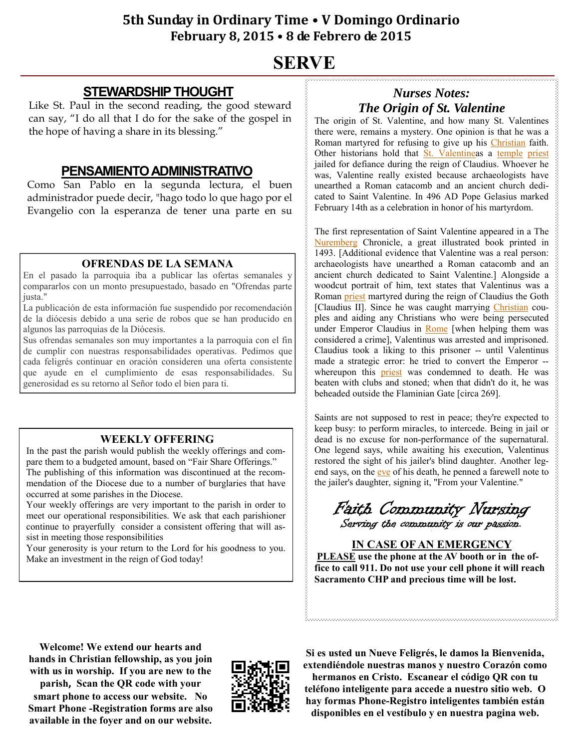# **SERVE**

### **STEWARDSHIP THOUGHT**

Like St. Paul in the second reading, the good steward can say, "I do all that I do for the sake of the gospel in the hope of having a share in its blessing."

### **PENSAMIENTO ADMINISTRATIVO**

Como San Pablo en la segunda lectura, el buen administrador puede decir, "hago todo lo que hago por el Evangelio con la esperanza de tener una parte en su

### **OFRENDAS DE LA SEMANA**

En el pasado la parroquia iba a publicar las ofertas semanales y compararlos con un monto presupuestado, basado en "Ofrendas parte justa."

La publicación de esta información fue suspendido por recomendación de la diócesis debido a una serie de robos que se han producido en algunos las parroquias de la Diócesis.

Sus ofrendas semanales son muy importantes a la parroquia con el fin de cumplir con nuestras responsabilidades operativas. Pedimos que cada feligrés continuar en oración consideren una oferta consistente que ayude en el cumplimiento de esas responsabilidades. Su generosidad es su retorno al Señor todo el bien para ti.

### **WEEKLY OFFERING**

In the past the parish would publish the weekly offerings and compare them to a budgeted amount, based on "Fair Share Offerings." The publishing of this information was discontinued at the recommendation of the Diocese due to a number of burglaries that have occurred at some parishes in the Diocese.

Your weekly offerings are very important to the parish in order to meet our operational responsibilities. We ask that each parishioner continue to prayerfully consider a consistent offering that will assist in meeting those responsibilities

Your generosity is your return to the Lord for his goodness to you. Make an investment in the reign of God today!

# *Nurses Notes: The Origin of St. Valentine*

The origin of St. Valentine, and how many St. Valentines there were, remains a mystery. One opinion is that he was a Roman martyred for refusing to give up his Christian faith. Other historians hold that St. Valentineas a temple priest jailed for defiance during the reign of Claudius. Whoever he was, Valentine really existed because archaeologists have unearthed a Roman catacomb and an ancient church dedicated to Saint Valentine. In 496 AD Pope Gelasius marked February 14th as a celebration in honor of his martyrdom.

The first representation of Saint Valentine appeared in a The Nuremberg Chronicle, a great illustrated book printed in 1493. [Additional evidence that Valentine was a real person: archaeologists have unearthed a Roman catacomb and an ancient church dedicated to Saint Valentine.] Alongside a woodcut portrait of him, text states that Valentinus was a Roman priest martyred during the reign of Claudius the Goth [Claudius II]. Since he was caught marrying *Christian* couples and aiding any Christians who were being persecuted under Emperor Claudius in Rome [when helping them was considered a crime], Valentinus was arrested and imprisoned. Claudius took a liking to this prisoner -- until Valentinus made a strategic error: he tried to convert the Emperor - whereupon this priest was condemned to death. He was beaten with clubs and stoned; when that didn't do it, he was beheaded outside the Flaminian Gate [circa 269].

Saints are not supposed to rest in peace; they're expected to keep busy: to perform miracles, to intercede. Being in jail or dead is no excuse for non-performance of the supernatural. One legend says, while awaiting his execution, Valentinus restored the sight of his jailer's blind daughter. Another legend says, on the eve of his death, he penned a farewell note to the jailer's daughter, signing it, "From your Valentine."

Faith Community Nursing Serving the community is our passion.

**IN CASE OF AN EMERGENCY PLEASE use the phone at the AV booth or in the office to call 911. Do not use your cell phone it will reach Sacramento CHP and precious time will be lost.** 

**Welcome! We extend our hearts and hands in Christian fellowship, as you join with us in worship. If you are new to the parish, Scan the QR code with your smart phone to access our website. No Smart Phone -Registration forms are also available in the foyer and on our website.** 



**Si es usted un Nueve Feligrés, le damos la Bienvenida, extendiéndole nuestras manos y nuestro Corazón como hermanos en Cristo. Escanear el código QR con tu teléfono inteligente para accede a nuestro sitio web. O hay formas Phone-Registro inteligentes también están disponibles en el vestíbulo y en nuestra pagina web.**